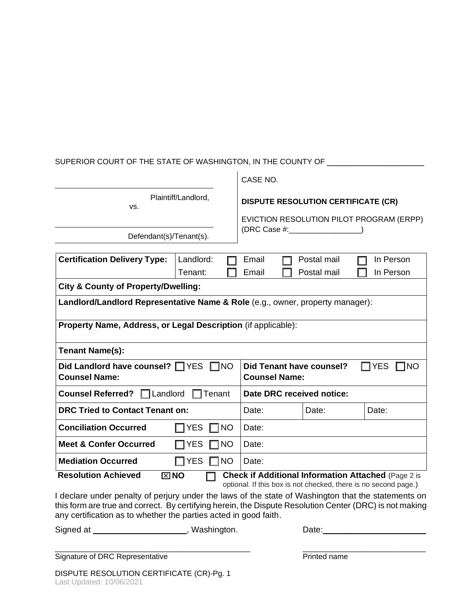## SUPERIOR COURT OF THE STATE OF WASHINGTON, IN THE COUNTY OF \_\_\_\_\_\_\_\_\_\_\_\_\_\_\_\_\_\_\_\_

|                                                                                                     |                            | CASE NO.                                                              |                                                                                                                               |                        |  |
|-----------------------------------------------------------------------------------------------------|----------------------------|-----------------------------------------------------------------------|-------------------------------------------------------------------------------------------------------------------------------|------------------------|--|
| Plaintiff/Landlord,<br>VS.                                                                          |                            | <b>DISPUTE RESOLUTION CERTIFICATE (CR)</b>                            |                                                                                                                               |                        |  |
|                                                                                                     |                            |                                                                       | EVICTION RESOLUTION PILOT PROGRAM (ERPP)                                                                                      |                        |  |
| Defendant(s)/Tenant(s).                                                                             |                            | (DRC Case #: _______________                                          |                                                                                                                               |                        |  |
| <b>Certification Delivery Type:</b>                                                                 | Landlord:<br>Tenant:       | Email<br>Email                                                        | Postal mail<br>Postal mail                                                                                                    | In Person<br>In Person |  |
| <b>City &amp; County of Property/Dwelling:</b>                                                      |                            |                                                                       |                                                                                                                               |                        |  |
| Landlord/Landlord Representative Name & Role (e.g., owner, property manager):                       |                            |                                                                       |                                                                                                                               |                        |  |
| Property Name, Address, or Legal Description (if applicable):                                       |                            |                                                                       |                                                                                                                               |                        |  |
| <b>Tenant Name(s):</b>                                                                              |                            |                                                                       |                                                                                                                               |                        |  |
| Did Landlord have counsel? TYES<br>$\square$ NO<br><b>Counsel Name:</b>                             |                            | Did Tenant have counsel?<br><b>YES</b><br>∏NO<br><b>Counsel Name:</b> |                                                                                                                               |                        |  |
| <b>Counsel Referred?</b><br>$\Box$ Landlord<br>Tenant                                               |                            | Date DRC received notice:                                             |                                                                                                                               |                        |  |
| <b>DRC Tried to Contact Tenant on:</b>                                                              |                            | Date:                                                                 | Date:                                                                                                                         | Date:                  |  |
| <b>Conciliation Occurred</b>                                                                        | $\square$ NO<br><b>YES</b> | Date:                                                                 |                                                                                                                               |                        |  |
| <b>Meet &amp; Confer Occurred</b><br>1NO<br><b>YES</b>                                              |                            | Date:                                                                 |                                                                                                                               |                        |  |
| <b>Mediation Occurred</b><br>$\Box$ YES<br>$\square$ NO                                             |                            | Date:                                                                 |                                                                                                                               |                        |  |
| <b>Resolution Achieved</b><br>$\boxtimes$ NO                                                        |                            |                                                                       | <b>Check if Additional Information Attached (Page 2 is</b><br>optional. If this box is not checked, there is no second page.) |                        |  |
| I declare under penalty of periury under the laws of the state of Washington that the statements on |                            |                                                                       |                                                                                                                               |                        |  |

 $\sim$   $\mu$ 

I declare under penalty of perjury under the laws of the state of Washington that the statements on this form are true and correct. By certifying herein, the Dispute Resolution Center (DRC) is not making any certification as to whether the parties acted in good faith.

\_\_\_\_\_\_\_\_\_\_\_\_\_\_\_\_\_\_\_\_\_\_\_\_\_\_\_\_\_\_\_\_\_\_\_\_\_\_\_\_\_\_\_\_\_\_ \_\_\_\_\_\_\_\_\_\_\_\_\_\_\_\_\_\_\_\_\_\_\_\_\_\_\_\_\_

Signed at \_\_\_\_\_\_\_\_\_\_\_\_\_\_\_\_\_\_\_\_\_\_, Washington. The Date: \_\_\_\_\_\_\_\_\_\_\_\_\_\_\_\_\_\_\_\_\_\_\_\_

Signature of DRC Representative **Prince Access 2016** Printed name